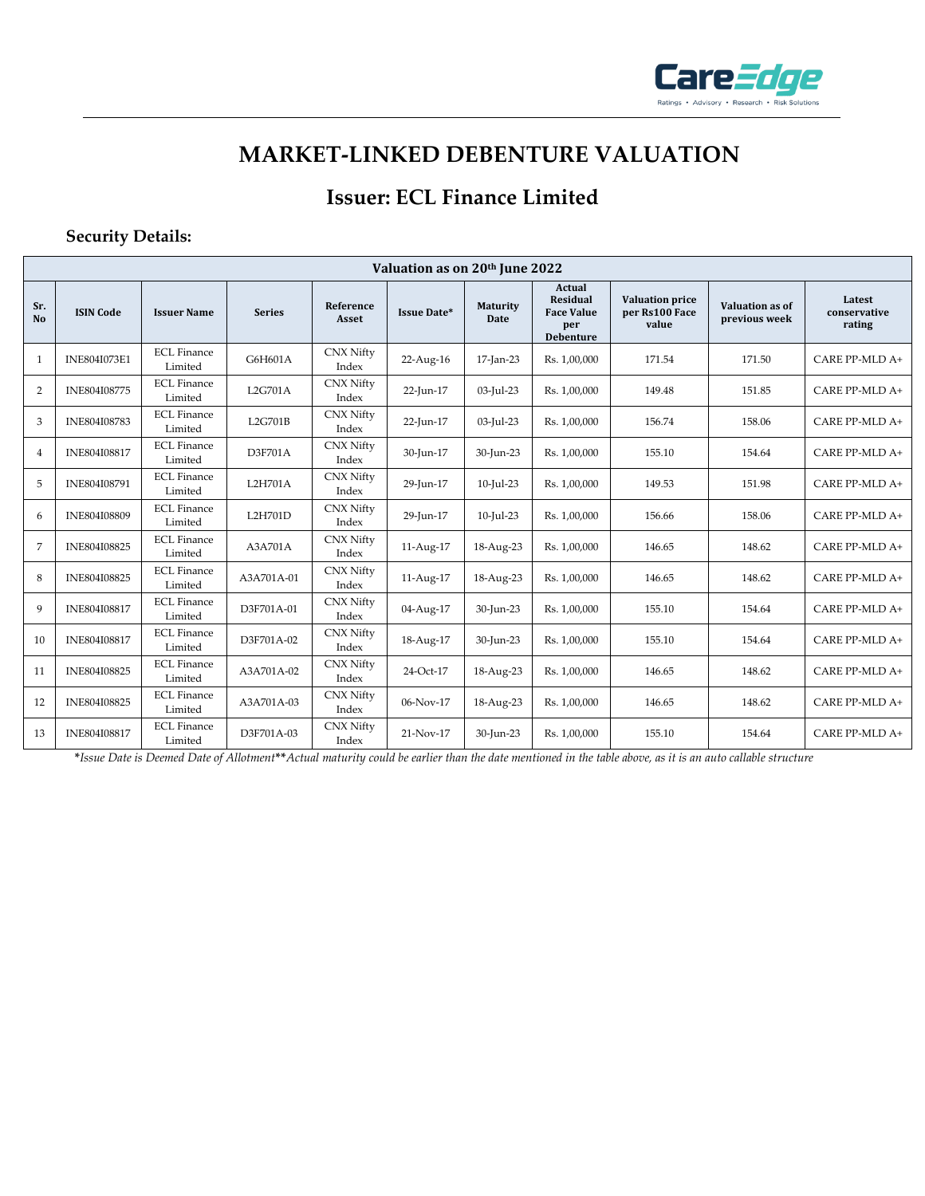

## **MARKET-LINKED DEBENTURE VALUATION**

## **Issuer: ECL Finance Limited**

## **Security Details:**

| Valuation as on 20 <sup>th</sup> June 2022 |                  |                               |               |                           |                    |                                |                                                                                  |                                                   |                                         |                                  |
|--------------------------------------------|------------------|-------------------------------|---------------|---------------------------|--------------------|--------------------------------|----------------------------------------------------------------------------------|---------------------------------------------------|-----------------------------------------|----------------------------------|
| Sr.<br>N <sub>o</sub>                      | <b>ISIN Code</b> | <b>Issuer Name</b>            | <b>Series</b> | Reference<br>Asset        | <b>Issue Date*</b> | <b>Maturity</b><br><b>Date</b> | <b>Actual</b><br><b>Residual</b><br><b>Face Value</b><br>per<br><b>Debenture</b> | <b>Valuation price</b><br>per Rs100 Face<br>value | <b>Valuation as of</b><br>previous week | Latest<br>conservative<br>rating |
| $\mathbf{1}$                               | INE804I073E1     | <b>ECL Finance</b><br>Limited | G6H601A       | <b>CNX Nifty</b><br>Index | 22-Aug-16          | 17-Jan-23                      | Rs. 1,00,000                                                                     | 171.54                                            | 171.50                                  | CARE PP-MLD A+                   |
| $\overline{2}$                             | INE804I08775     | <b>ECL Finance</b><br>Limited | L2G701A       | <b>CNX Nifty</b><br>Index | 22-Jun-17          | 03-Jul-23                      | Rs. 1,00,000                                                                     | 149.48                                            | 151.85                                  | CARE PP-MLD A+                   |
| 3                                          | INE804I08783     | <b>ECL Finance</b><br>Limited | L2G701B       | <b>CNX Nifty</b><br>Index | 22-Jun-17          | 03-Jul-23                      | Rs. 1,00,000                                                                     | 156.74                                            | 158.06                                  | CARE PP-MLD A+                   |
| $\overline{4}$                             | INE804I08817     | <b>ECL Finance</b><br>Limited | D3F701A       | <b>CNX Nifty</b><br>Index | 30-Jun-17          | 30-Jun-23                      | Rs. 1,00,000                                                                     | 155.10                                            | 154.64                                  | CARE PP-MLD A+                   |
| 5                                          | INE804I08791     | <b>ECL Finance</b><br>Limited | L2H701A       | <b>CNX Nifty</b><br>Index | 29-Jun-17          | 10-Jul-23                      | Rs. 1,00,000                                                                     | 149.53                                            | 151.98                                  | CARE PP-MLD A+                   |
| 6                                          | INE804I08809     | <b>ECL Finance</b><br>Limited | L2H701D       | <b>CNX Nifty</b><br>Index | 29-Jun-17          | 10-Jul-23                      | Rs. 1,00,000                                                                     | 156.66                                            | 158.06                                  | CARE PP-MLD A+                   |
| 7                                          | INE804I08825     | <b>ECL Finance</b><br>Limited | A3A701A       | <b>CNX Nifty</b><br>Index | 11-Aug-17          | 18-Aug-23                      | Rs. 1,00,000                                                                     | 146.65                                            | 148.62                                  | CARE PP-MLD A+                   |
| 8                                          | INE804I08825     | <b>ECL Finance</b><br>Limited | A3A701A-01    | <b>CNX Nifty</b><br>Index | 11-Aug-17          | 18-Aug-23                      | Rs. 1,00,000                                                                     | 146.65                                            | 148.62                                  | CARE PP-MLD A+                   |
| 9                                          | INE804I08817     | <b>ECL Finance</b><br>Limited | D3F701A-01    | <b>CNX Nifty</b><br>Index | 04-Aug-17          | 30-Jun-23                      | Rs. 1,00,000                                                                     | 155.10                                            | 154.64                                  | CARE PP-MLD A+                   |
| 10                                         | INE804I08817     | <b>ECL Finance</b><br>Limited | D3F701A-02    | <b>CNX Nifty</b><br>Index | 18-Aug-17          | 30-Jun-23                      | Rs. 1,00,000                                                                     | 155.10                                            | 154.64                                  | CARE PP-MLD A+                   |
| 11                                         | INE804I08825     | <b>ECL Finance</b><br>Limited | A3A701A-02    | <b>CNX Nifty</b><br>Index | 24-Oct-17          | 18-Aug-23                      | Rs. 1,00,000                                                                     | 146.65                                            | 148.62                                  | CARE PP-MLD A+                   |
| 12                                         | INE804I08825     | <b>ECL Finance</b><br>Limited | A3A701A-03    | <b>CNX Nifty</b><br>Index | 06-Nov-17          | 18-Aug-23                      | Rs. 1,00,000                                                                     | 146.65                                            | 148.62                                  | CARE PP-MLD A+                   |
| 13                                         | INE804I08817     | <b>ECL Finance</b><br>Limited | D3F701A-03    | <b>CNX Nifty</b><br>Index | 21-Nov-17          | 30-Jun-23                      | Rs. 1,00,000                                                                     | 155.10                                            | 154.64                                  | CARE PP-MLD A+                   |

**\****Issue Date is Deemed Date of Allotment***\*\****Actual maturity could be earlier than the date mentioned in the table above, as it is an auto callable structure*